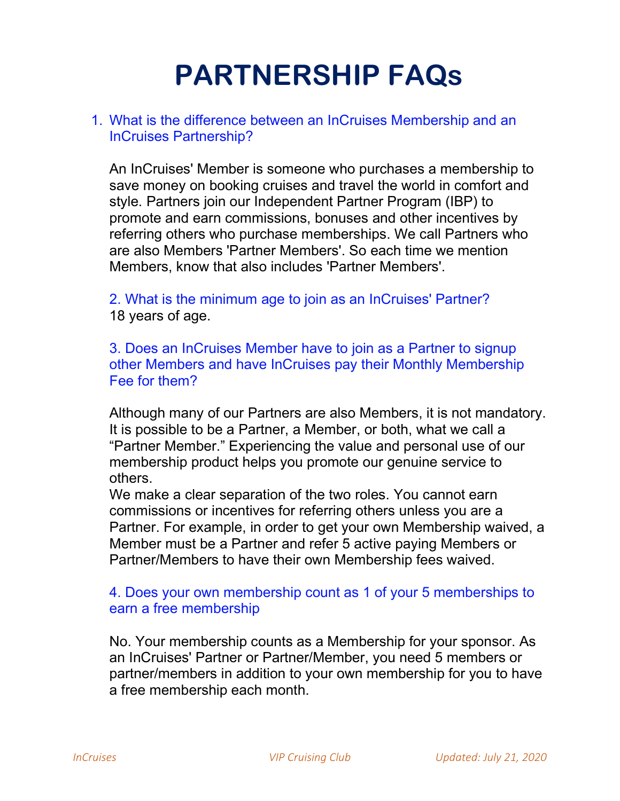# PARTNERSHIP FAQs

# 1. What is the difference between an InCruises Membership and an InCruises Partnership?

An InCruises' Member is someone who purchases a membership to save money on booking cruises and travel the world in comfort and style. Partners join our Independent Partner Program (IBP) to promote and earn commissions, bonuses and other incentives by referring others who purchase memberships. We call Partners who are also Members 'Partner Members'. So each time we mention Members, know that also includes 'Partner Members'.

2. What is the minimum age to join as an InCruises' Partner? 18 years of age.

3. Does an InCruises Member have to join as a Partner to signup other Members and have InCruises pay their Monthly Membership Fee for them?

Although many of our Partners are also Members, it is not mandatory. It is possible to be a Partner, a Member, or both, what we call a "Partner Member." Experiencing the value and personal use of our membership product helps you promote our genuine service to others.

We make a clear separation of the two roles. You cannot earn commissions or incentives for referring others unless you are a Partner. For example, in order to get your own Membership waived, a Member must be a Partner and refer 5 active paying Members or Partner/Members to have their own Membership fees waived.

# 4. Does your own membership count as 1 of your 5 memberships to earn a free membership

No. Your membership counts as a Membership for your sponsor. As an InCruises' Partner or Partner/Member, you need 5 members or partner/members in addition to your own membership for you to have a free membership each month.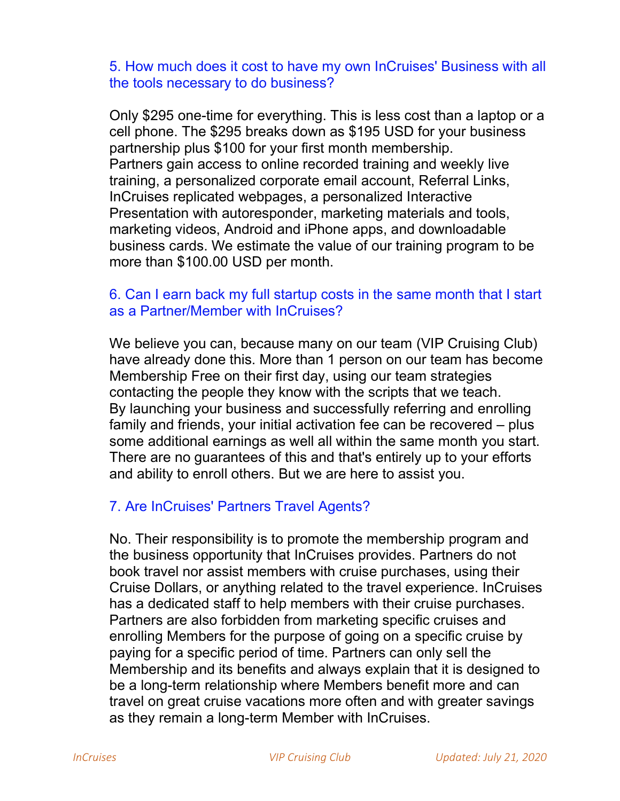# 5. How much does it cost to have my own InCruises' Business with all the tools necessary to do business?

Only \$295 one-time for everything. This is less cost than a laptop or a cell phone. The \$295 breaks down as \$195 USD for your business partnership plus \$100 for your first month membership. Partners gain access to online recorded training and weekly live training, a personalized corporate email account, Referral Links, InCruises replicated webpages, a personalized Interactive Presentation with autoresponder, marketing materials and tools, marketing videos, Android and iPhone apps, and downloadable business cards. We estimate the value of our training program to be more than \$100.00 USD per month.

# 6. Can I earn back my full startup costs in the same month that I start as a Partner/Member with InCruises?

We believe you can, because many on our team (VIP Cruising Club) have already done this. More than 1 person on our team has become Membership Free on their first day, using our team strategies contacting the people they know with the scripts that we teach. By launching your business and successfully referring and enrolling family and friends, your initial activation fee can be recovered – plus some additional earnings as well all within the same month you start. There are no guarantees of this and that's entirely up to your efforts and ability to enroll others. But we are here to assist you.

# 7. Are InCruises' Partners Travel Agents?

No. Their responsibility is to promote the membership program and the business opportunity that InCruises provides. Partners do not book travel nor assist members with cruise purchases, using their Cruise Dollars, or anything related to the travel experience. InCruises has a dedicated staff to help members with their cruise purchases. Partners are also forbidden from marketing specific cruises and enrolling Members for the purpose of going on a specific cruise by paying for a specific period of time. Partners can only sell the Membership and its benefits and always explain that it is designed to be a long-term relationship where Members benefit more and can travel on great cruise vacations more often and with greater savings as they remain a long-term Member with InCruises.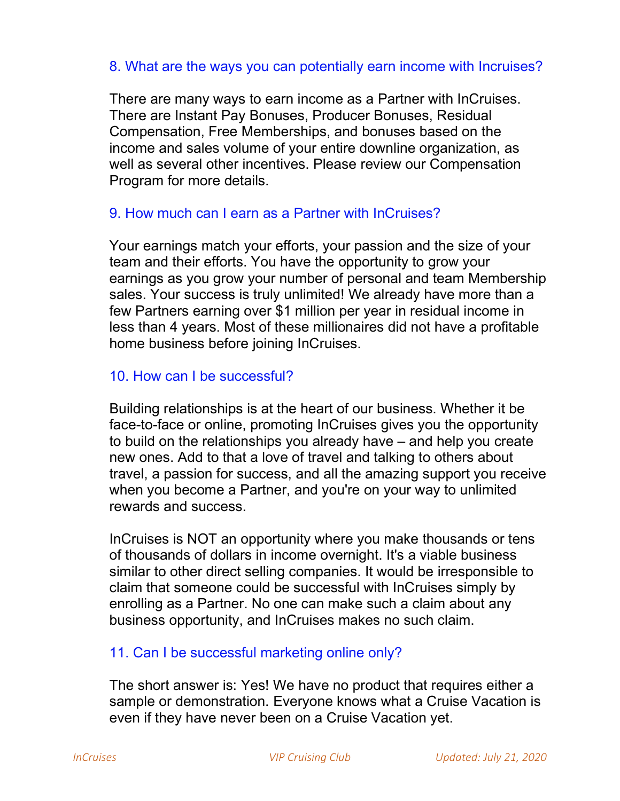#### 8. What are the ways you can potentially earn income with Incruises?

There are many ways to earn income as a Partner with InCruises. There are Instant Pay Bonuses, Producer Bonuses, Residual Compensation, Free Memberships, and bonuses based on the income and sales volume of your entire downline organization, as well as several other incentives. Please review our Compensation Program for more details.

# 9. How much can I earn as a Partner with InCruises?

Your earnings match your efforts, your passion and the size of your team and their efforts. You have the opportunity to grow your earnings as you grow your number of personal and team Membership sales. Your success is truly unlimited! We already have more than a few Partners earning over \$1 million per year in residual income in less than 4 years. Most of these millionaires did not have a profitable home business before joining InCruises.

# 10. How can I be successful?

Building relationships is at the heart of our business. Whether it be face-to-face or online, promoting InCruises gives you the opportunity to build on the relationships you already have – and help you create new ones. Add to that a love of travel and talking to others about travel, a passion for success, and all the amazing support you receive when you become a Partner, and you're on your way to unlimited rewards and success.

InCruises is NOT an opportunity where you make thousands or tens of thousands of dollars in income overnight. It's a viable business similar to other direct selling companies. It would be irresponsible to claim that someone could be successful with InCruises simply by enrolling as a Partner. No one can make such a claim about any business opportunity, and InCruises makes no such claim.

#### 11. Can I be successful marketing online only?

The short answer is: Yes! We have no product that requires either a sample or demonstration. Everyone knows what a Cruise Vacation is even if they have never been on a Cruise Vacation yet.